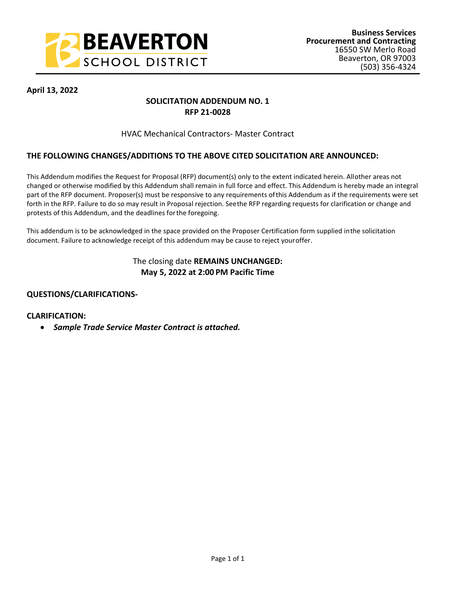

## **April 13, 2022**

## **SOLICITATION ADDENDUM NO. 1 RFP 21-0028**

### HVAC Mechanical Contractors- Master Contract

## **THE FOLLOWING CHANGES/ADDITIONS TO THE ABOVE CITED SOLICITATION ARE ANNOUNCED:**

This Addendum modifies the Request for Proposal (RFP) document(s) only to the extent indicated herein. All other areas not changed or otherwise modified by this Addendum shall remain in full force and effect. This Addendum is hereby made an integral part of the RFP document. Proposer(s) must be responsive to any requirements of this Addendum as if the requirements were set forth in the RFP. Failure to do so may result in Proposal rejection. See the RFP regarding requests for clarification or change and protests of this Addendum, and the deadlines for the foregoing.

This addendum is to be acknowledged in the space provided on the Proposer Certification form supplied in the solicitation document. Failure to acknowledge receipt of this addendum may be cause to reject your offer.

## The closing date **REMAINS UNCHANGED: May 5, 2022 at 2:00 PM Pacific Time**

### **QUESTIONS/CLARIFICATIONS-**

#### **CLARIFICATION:**

*Sample Trade Service Master Contract is attached.*